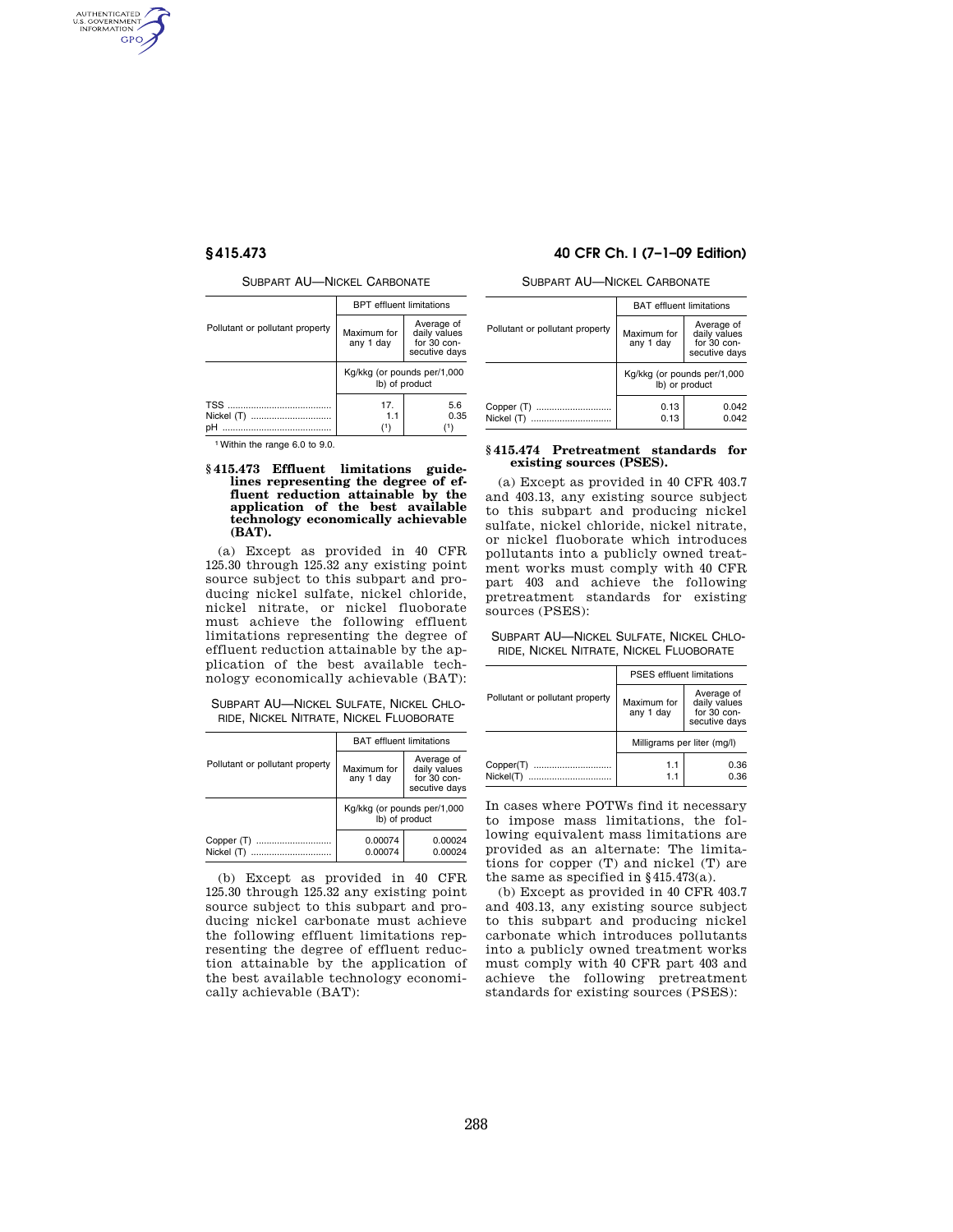AUTHENTICATED<br>U.S. GOVERNMENT<br>INFORMATION GPO

SUBPART AU—NICKEL CARBONATE

|                                 | <b>BPT</b> effluent limitations               |                                                            |
|---------------------------------|-----------------------------------------------|------------------------------------------------------------|
| Pollutant or pollutant property | Maximum for<br>any 1 day                      | Average of<br>daily values<br>for 30 con-<br>secutive days |
|                                 | Kg/kkg (or pounds per/1,000<br>lb) of product |                                                            |
| Nickel (T)                      | 17.<br>1.1<br>(1)                             | 5.6<br>0.35<br>(1)                                         |

1Within the range 6.0 to 9.0.

## **§ 415.473 Effluent limitations guidelines representing the degree of effluent reduction attainable by the application of the best available technology economically achievable (BAT).**

(a) Except as provided in 40 CFR 125.30 through 125.32 any existing point source subject to this subpart and producing nickel sulfate, nickel chloride, nickel nitrate, or nickel fluoborate must achieve the following effluent limitations representing the degree of effluent reduction attainable by the application of the best available technology economically achievable (BAT):

# SUBPART AU—NICKEL SULFATE, NICKEL CHLO-RIDE, NICKEL NITRATE, NICKEL FLUOBORATE

|                                 | <b>BAT</b> effluent limitations               |                                                            |
|---------------------------------|-----------------------------------------------|------------------------------------------------------------|
| Pollutant or pollutant property | Maximum for<br>any 1 day                      | Average of<br>daily values<br>for 30 con-<br>secutive days |
|                                 | Kg/kkg (or pounds per/1,000<br>lb) of product |                                                            |
| Copper (T)<br><br>Nickel (T)    | 0.00074<br>0.00074                            | 0.00024<br>0.00024                                         |

(b) Except as provided in 40 CFR 125.30 through 125.32 any existing point source subject to this subpart and producing nickel carbonate must achieve the following effluent limitations representing the degree of effluent reduction attainable by the application of the best available technology economically achievable (BAT):

# **§ 415.473 40 CFR Ch. I (7–1–09 Edition)**

SUBPART AU—NICKEL CARBONATE

|                                 | <b>BAT</b> effluent limitations               |                                                            |
|---------------------------------|-----------------------------------------------|------------------------------------------------------------|
| Pollutant or pollutant property | Maximum for<br>any 1 day                      | Average of<br>daily values<br>for 30 con-<br>secutive days |
|                                 | Kg/kkg (or pounds per/1,000<br>lb) or product |                                                            |
| Copper (T)<br>Nickel (T)        | 0.13<br>0.13                                  | 0.042<br>0.042                                             |

## **§ 415.474 Pretreatment standards for existing sources (PSES).**

(a) Except as provided in 40 CFR 403.7 and 403.13, any existing source subject to this subpart and producing nickel sulfate, nickel chloride, nickel nitrate, or nickel fluoborate which introduces pollutants into a publicly owned treatment works must comply with 40 CFR part 403 and achieve the following pretreatment standards for existing sources (PSES):

# SUBPART AU—NICKEL SULFATE, NICKEL CHLO-RIDE, NICKEL NITRATE, NICKEL FLUOBORATE

|                                 | <b>PSES</b> effluent limitations |                                                            |
|---------------------------------|----------------------------------|------------------------------------------------------------|
| Pollutant or pollutant property | Maximum for<br>any 1 day         | Average of<br>daily values<br>for 30 con-<br>secutive days |
|                                 | Milligrams per liter (mg/l)      |                                                            |
| Copper(T)<br><br>Nickel(T)      | 1.1<br>1.1                       | 0.36<br>0.36                                               |

In cases where POTWs find it necessary to impose mass limitations, the following equivalent mass limitations are provided as an alternate: The limitations for copper (T) and nickel (T) are the same as specified in  $§415.473(a)$ .

(b) Except as provided in 40 CFR 403.7 and 403.13, any existing source subject to this subpart and producing nickel carbonate which introduces pollutants into a publicly owned treatment works must comply with 40 CFR part 403 and achieve the following pretreatment standards for existing sources (PSES):